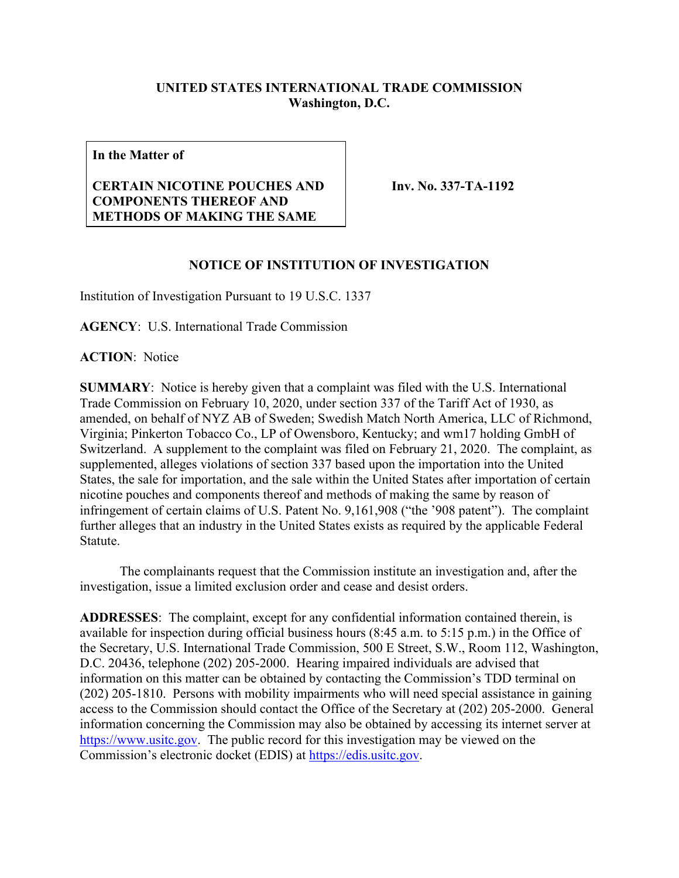## **UNITED STATES INTERNATIONAL TRADE COMMISSION Washington, D.C.**

**In the Matter of**

## **CERTAIN NICOTINE POUCHES AND COMPONENTS THEREOF AND METHODS OF MAKING THE SAME**

**Inv. No. 337-TA-1192**

## **NOTICE OF INSTITUTION OF INVESTIGATION**

Institution of Investigation Pursuant to 19 U.S.C. 1337

**AGENCY**: U.S. International Trade Commission

**ACTION**: Notice

**SUMMARY**: Notice is hereby given that a complaint was filed with the U.S. International Trade Commission on February 10, 2020, under section 337 of the Tariff Act of 1930, as amended, on behalf of NYZ AB of Sweden; Swedish Match North America, LLC of Richmond, Virginia; Pinkerton Tobacco Co., LP of Owensboro, Kentucky; and wm17 holding GmbH of Switzerland. A supplement to the complaint was filed on February 21, 2020. The complaint, as supplemented, alleges violations of section 337 based upon the importation into the United States, the sale for importation, and the sale within the United States after importation of certain nicotine pouches and components thereof and methods of making the same by reason of infringement of certain claims of U.S. Patent No. 9,161,908 ("the '908 patent"). The complaint further alleges that an industry in the United States exists as required by the applicable Federal Statute.

The complainants request that the Commission institute an investigation and, after the investigation, issue a limited exclusion order and cease and desist orders.

**ADDRESSES**: The complaint, except for any confidential information contained therein, is available for inspection during official business hours (8:45 a.m. to 5:15 p.m.) in the Office of the Secretary, U.S. International Trade Commission, 500 E Street, S.W., Room 112, Washington, D.C. 20436, telephone (202) 205-2000. Hearing impaired individuals are advised that information on this matter can be obtained by contacting the Commission's TDD terminal on (202) 205-1810. Persons with mobility impairments who will need special assistance in gaining access to the Commission should contact the Office of the Secretary at (202) 205-2000. General information concerning the Commission may also be obtained by accessing its internet server at [https://www.usitc.gov.](https://www.usitc.gov/) The public record for this investigation may be viewed on the Commission's electronic docket (EDIS) at [https://edis.usitc.gov.](https://edis.usitc.gov/)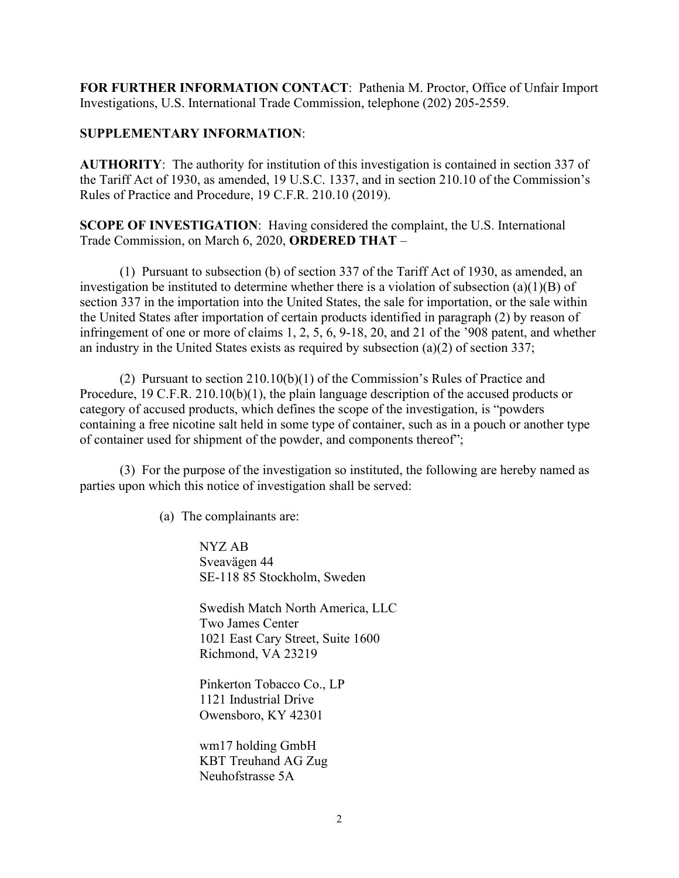**FOR FURTHER INFORMATION CONTACT**: Pathenia M. Proctor, Office of Unfair Import Investigations, U.S. International Trade Commission, telephone (202) 205-2559.

## **SUPPLEMENTARY INFORMATION**:

**AUTHORITY**: The authority for institution of this investigation is contained in section 337 of the Tariff Act of 1930, as amended, 19 U.S.C. 1337, and in section 210.10 of the Commission's Rules of Practice and Procedure, 19 C.F.R. 210.10 (2019).

**SCOPE OF INVESTIGATION**: Having considered the complaint, the U.S. International Trade Commission, on March 6, 2020, **ORDERED THAT** –

(1) Pursuant to subsection (b) of section 337 of the Tariff Act of 1930, as amended, an investigation be instituted to determine whether there is a violation of subsection (a)(1)(B) of section 337 in the importation into the United States, the sale for importation, or the sale within the United States after importation of certain products identified in paragraph (2) by reason of infringement of one or more of claims 1, 2, 5, 6, 9-18, 20, and 21 of the '908 patent, and whether an industry in the United States exists as required by subsection (a)(2) of section 337;

(2) Pursuant to section 210.10(b)(1) of the Commission's Rules of Practice and Procedure, 19 C.F.R. 210.10(b)(1), the plain language description of the accused products or category of accused products, which defines the scope of the investigation, is "powders containing a free nicotine salt held in some type of container, such as in a pouch or another type of container used for shipment of the powder, and components thereof";

(3) For the purpose of the investigation so instituted, the following are hereby named as parties upon which this notice of investigation shall be served:

(a) The complainants are:

NYZ AB Sveavägen 44 SE-118 85 Stockholm, Sweden

Swedish Match North America, LLC Two James Center 1021 East Cary Street, Suite 1600 Richmond, VA 23219

Pinkerton Tobacco Co., LP 1121 Industrial Drive Owensboro, KY 42301

wm17 holding GmbH KBT Treuhand AG Zug Neuhofstrasse 5A